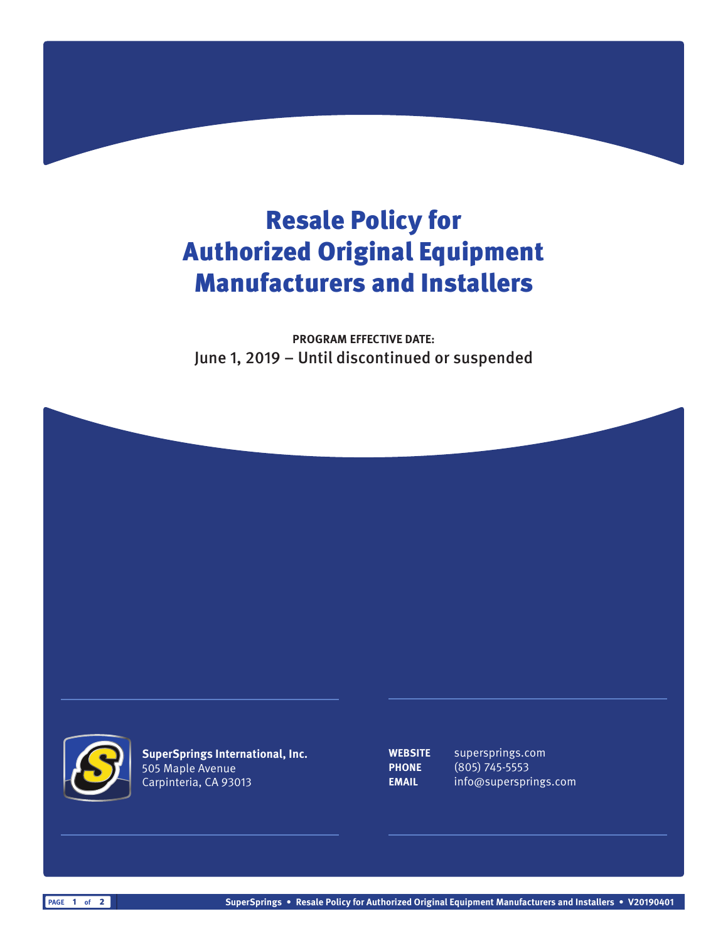## Resale Policy for Authorized Original Equipment Manufacturers and Installers

**PROGRAM EFFECTIVE DATE:** June 1, 2019 – Until discontinued or suspended





**SuperSprings International, Inc.** 505 Maple Avenue Carpinteria, CA 93013

**WEBSITE** supersprings.com **PHONE** (805) 745-5553 **EMAIL** info@supersprings.com